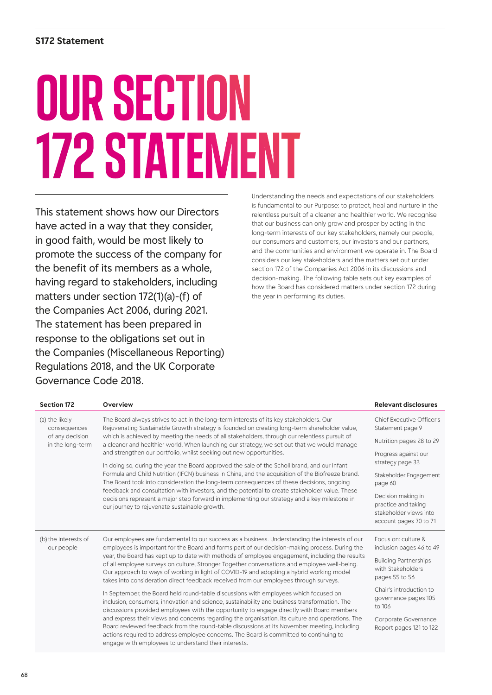# OUR SECTION 172 STATEMENT

This statement shows how our Directors have acted in a way that they consider, in good faith, would be most likely to promote the success of the company for the benefit of its members as a whole, having regard to stakeholders, including matters under section 172(1)(a)-(f) of the Companies Act 2006, during 2021. The statement has been prepared in response to the obligations set out in the Companies (Miscellaneous Reporting) Regulations 2018, and the UK Corporate Governance Code 2018.

Understanding the needs and expectations of our stakeholders is fundamental to our Purpose: to protect, heal and nurture in the relentless pursuit of a cleaner and healthier world. We recognise that our business can only grow and prosper by acting in the long-term interests of our key stakeholders, namely our people, our consumers and customers, our investors and our partners, and the communities and environment we operate in. The Board considers our key stakeholders and the matters set out under section 172 of the Companies Act 2006 in its discussions and decision-making. The following table sets out key examples of how the Board has considered matters under section 172 during the year in performing its duties.

| <b>Section 172</b>                                                    | Overview                                                                                                                                                                                                                                                                                                                                                                                                                                                                                                                                                                                                                                                                                                                                                                                                                                                                                                                                                                                                            | Relevant disclosures                                                                          |
|-----------------------------------------------------------------------|---------------------------------------------------------------------------------------------------------------------------------------------------------------------------------------------------------------------------------------------------------------------------------------------------------------------------------------------------------------------------------------------------------------------------------------------------------------------------------------------------------------------------------------------------------------------------------------------------------------------------------------------------------------------------------------------------------------------------------------------------------------------------------------------------------------------------------------------------------------------------------------------------------------------------------------------------------------------------------------------------------------------|-----------------------------------------------------------------------------------------------|
| (a) the likely<br>consequences<br>of any decision<br>in the long-term | The Board always strives to act in the long-term interests of its key stakeholders. Our<br>Rejuvenating Sustainable Growth strategy is founded on creating long-term shareholder value,<br>which is achieved by meeting the needs of all stakeholders, through our relentless pursuit of<br>a cleaner and healthier world. When launching our strategy, we set out that we would manage<br>and strengthen our portfolio, whilst seeking out new opportunities.<br>In doing so, during the year, the Board approved the sale of the Scholl brand, and our Infant<br>Formula and Child Nutrition (IFCN) business in China, and the acquisition of the Biofreeze brand.<br>The Board took into consideration the long-term consequences of these decisions, ongoing<br>feedback and consultation with investors, and the potential to create stakeholder value. These<br>decisions represent a major step forward in implementing our strategy and a key milestone in<br>our journey to rejuvenate sustainable growth. | Chief Executive Officer's<br>Statement page 9                                                 |
|                                                                       |                                                                                                                                                                                                                                                                                                                                                                                                                                                                                                                                                                                                                                                                                                                                                                                                                                                                                                                                                                                                                     | Nutrition pages 28 to 29                                                                      |
|                                                                       |                                                                                                                                                                                                                                                                                                                                                                                                                                                                                                                                                                                                                                                                                                                                                                                                                                                                                                                                                                                                                     | Progress against our<br>strategy page 33                                                      |
|                                                                       |                                                                                                                                                                                                                                                                                                                                                                                                                                                                                                                                                                                                                                                                                                                                                                                                                                                                                                                                                                                                                     | Stakeholder Engagement<br>page 60                                                             |
|                                                                       |                                                                                                                                                                                                                                                                                                                                                                                                                                                                                                                                                                                                                                                                                                                                                                                                                                                                                                                                                                                                                     | Decision making in<br>practice and taking<br>stakeholder views into<br>account pages 70 to 71 |
| (b) the interests of<br>our people                                    | Our employees are fundamental to our success as a business. Understanding the interests of our<br>employees is important for the Board and forms part of our decision-making process. During the<br>year, the Board has kept up to date with methods of employee engagement, including the results<br>of all employee surveys on culture, Stronger Together conversations and employee well-being.<br>Our approach to ways of working in light of COVID-19 and adopting a hybrid working model<br>takes into consideration direct feedback received from our employees through surveys.                                                                                                                                                                                                                                                                                                                                                                                                                             | Focus on: culture &<br>inclusion pages 46 to 49                                               |
|                                                                       |                                                                                                                                                                                                                                                                                                                                                                                                                                                                                                                                                                                                                                                                                                                                                                                                                                                                                                                                                                                                                     | <b>Building Partnerships</b><br>with Stakeholders<br>pages 55 to 56                           |
|                                                                       | In September, the Board held round-table discussions with employees which focused on<br>inclusion, consumers, innovation and science, sustainability and business transformation. The<br>discussions provided employees with the opportunity to engage directly with Board members<br>and express their views and concerns regarding the organisation, its culture and operations. The<br>Board reviewed feedback from the round-table discussions at its November meeting, including<br>actions required to address employee concerns. The Board is committed to continuing to<br>engage with employees to understand their interests.                                                                                                                                                                                                                                                                                                                                                                             | Chair's introduction to<br>governance pages 105<br>to 106                                     |
|                                                                       |                                                                                                                                                                                                                                                                                                                                                                                                                                                                                                                                                                                                                                                                                                                                                                                                                                                                                                                                                                                                                     | Corporate Governance<br>Report pages 121 to 122                                               |
|                                                                       |                                                                                                                                                                                                                                                                                                                                                                                                                                                                                                                                                                                                                                                                                                                                                                                                                                                                                                                                                                                                                     |                                                                                               |

68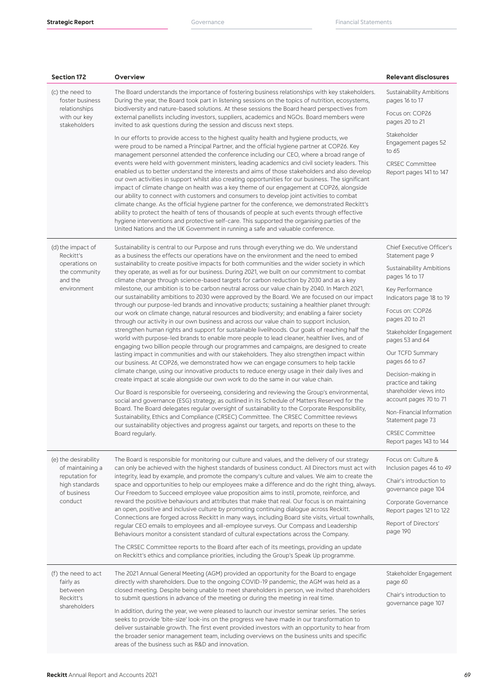| <b>Section 172</b>                                                                                     | Overview                                                                                                                                                                                                                                                                                                                                                                                                                                                                                                                                                                                                                                                                                                                                                                                                                                                                                                                                                                                                                                                                                                                                                                                                                                                                                                                                                                                                                                                                                                                                                                                                                                                                                                                                                                                                                                                                                                                                                                                                                                                                                                                                                                   | <b>Relevant disclosures</b>                                                                                                                                                                                                                                                                                                                                                                                                                                                       |
|--------------------------------------------------------------------------------------------------------|----------------------------------------------------------------------------------------------------------------------------------------------------------------------------------------------------------------------------------------------------------------------------------------------------------------------------------------------------------------------------------------------------------------------------------------------------------------------------------------------------------------------------------------------------------------------------------------------------------------------------------------------------------------------------------------------------------------------------------------------------------------------------------------------------------------------------------------------------------------------------------------------------------------------------------------------------------------------------------------------------------------------------------------------------------------------------------------------------------------------------------------------------------------------------------------------------------------------------------------------------------------------------------------------------------------------------------------------------------------------------------------------------------------------------------------------------------------------------------------------------------------------------------------------------------------------------------------------------------------------------------------------------------------------------------------------------------------------------------------------------------------------------------------------------------------------------------------------------------------------------------------------------------------------------------------------------------------------------------------------------------------------------------------------------------------------------------------------------------------------------------------------------------------------------|-----------------------------------------------------------------------------------------------------------------------------------------------------------------------------------------------------------------------------------------------------------------------------------------------------------------------------------------------------------------------------------------------------------------------------------------------------------------------------------|
| (c) the need to<br>foster business<br>relationships<br>with our key<br>stakeholders                    | The Board understands the importance of fostering business relationships with key stakeholders.<br>During the year, the Board took part in listening sessions on the topics of nutrition, ecosystems,<br>biodiversity and nature-based solutions. At these sessions the Board heard perspectives from<br>external panellists including investors, suppliers, academics and NGOs. Board members were<br>invited to ask questions during the session and discuss next steps.<br>In our efforts to provide access to the highest quality health and hygiene products, we<br>were proud to be named a Principal Partner, and the official hygiene partner at COP26. Key<br>management personnel attended the conference including our CEO, where a broad range of<br>events were held with government ministers, leading academics and civil society leaders. This<br>enabled us to better understand the interests and aims of those stakeholders and also develop<br>our own activities in support whilst also creating opportunities for our business. The significant<br>impact of climate change on health was a key theme of our engagement at COP26, alongside<br>our ability to connect with customers and consumers to develop joint activities to combat<br>climate change. As the official hygiene partner for the conference, we demonstrated Reckitt's<br>ability to protect the health of tens of thousands of people at such events through effective<br>hygiene interventions and protective self-care. This supported the organising parties of the<br>United Nations and the UK Government in running a safe and valuable conference.                                                                                                                                                                                                                                                                                                                                                                                                                                                                                                                        | Sustainability Ambitions<br>pages 16 to 17<br>Focus on: COP26<br>pages 20 to 21<br>Stakeholder<br>Engagement pages 52<br>to 65<br><b>CRSEC Committee</b><br>Report pages 141 to 147                                                                                                                                                                                                                                                                                               |
| (d) the impact of<br>Reckitt's<br>operations on<br>the community<br>and the<br>environment             | Sustainability is central to our Purpose and runs through everything we do. We understand<br>as a business the effects our operations have on the environment and the need to embed<br>sustainability to create positive impacts for both communities and the wider society in which<br>they operate, as well as for our business. During 2021, we built on our commitment to combat<br>climate change through science-based targets for carbon reduction by 2030 and as a key<br>milestone, our ambition is to be carbon neutral across our value chain by 2040. In March 2021,<br>our sustainability ambitions to 2030 were approved by the Board. We are focused on our impact<br>through our purpose-led brands and innovative products; sustaining a healthier planet through:<br>our work on climate change, natural resources and biodiversity; and enabling a fairer society<br>through our activity in our own business and across our value chain to support inclusion,<br>strengthen human rights and support for sustainable livelihoods. Our goals of reaching half the<br>world with purpose-led brands to enable more people to lead cleaner, healthier lives, and of<br>engaging two billion people through our programmes and campaigns, are designed to create<br>lasting impact in communities and with our stakeholders. They also strengthen impact within<br>our business. At COP26, we demonstrated how we can engage consumers to help tackle<br>climate change, using our innovative products to reduce energy usage in their daily lives and<br>create impact at scale alongside our own work to do the same in our value chain.<br>Our Board is responsible for overseeing, considering and reviewing the Group's environmental,<br>social and governance (ESG) strategy, as outlined in its Schedule of Matters Reserved for the<br>Board. The Board delegates regular oversight of sustainability to the Corporate Responsibility,<br>Sustainability, Ethics and Compliance (CRSEC) Committee. The CRSEC Committee reviews<br>our sustainability objectives and progress against our targets, and reports on these to the<br>Board regularly. | <b>Chief Executive Officer's</b><br>Statement page 9<br>Sustainability Ambitions<br>pages 16 to 17<br>Key Performance<br>Indicators page 18 to 19<br>Focus on: COP26<br>pages 20 to 21<br>Stakeholder Engagement<br>pages 53 and 64<br>Our TCFD Summary<br>pages 66 to 67<br>Decision-making in<br>practice and taking<br>shareholder views into<br>account pages 70 to 71<br>Non-Financial Information<br>Statement page 73<br><b>CRSEC Committee</b><br>Report pages 143 to 144 |
| (e) the desirability<br>of maintaining a<br>reputation for<br>high standards<br>of business<br>conduct | The Board is responsible for monitoring our culture and values, and the delivery of our strategy<br>can only be achieved with the highest standards of business conduct. All Directors must act with<br>integrity, lead by example, and promote the company's culture and values. We aim to create the<br>space and opportunities to help our employees make a difference and do the right thing, always.<br>Our Freedom to Succeed employee value proposition aims to instil, promote, reinforce, and<br>reward the positive behaviours and attributes that make that real. Our focus is on maintaining<br>an open, positive and inclusive culture by promoting continuing dialogue across Reckitt.<br>Connections are forged across Reckitt in many ways, including Board site visits, virtual townhalls,<br>regular CEO emails to employees and all-employee surveys. Our Compass and Leadership<br>Behaviours monitor a consistent standard of cultural expectations across the Company.<br>The CRSEC Committee reports to the Board after each of its meetings, providing an update<br>on Reckitt's ethics and compliance priorities, including the Group's Speak Up programme.                                                                                                                                                                                                                                                                                                                                                                                                                                                                                                                                                                                                                                                                                                                                                                                                                                                                                                                                                                                       | Focus on: Culture &<br>Inclusion pages 46 to 49<br>Chair's introduction to<br>governance page 104<br>Corporate Governance<br>Report pages 121 to 122<br>Report of Directors'<br>page 190                                                                                                                                                                                                                                                                                          |
| (f) the need to act<br>fairly as<br>between<br>Reckitt's<br>shareholders                               | The 2021 Annual General Meeting (AGM) provided an opportunity for the Board to engage<br>directly with shareholders. Due to the ongoing COVID-19 pandemic, the AGM was held as a<br>closed meeting. Despite being unable to meet shareholders in person, we invited shareholders<br>to submit questions in advance of the meeting or during the meeting in real time.<br>In addition, during the year, we were pleased to launch our investor seminar series. The series<br>seeks to provide 'bite-size' look-ins on the progress we have made in our transformation to<br>deliver sustainable growth. The first event provided investors with an opportunity to hear from<br>the broader senior management team, including overviews on the business units and specific<br>areas of the business such as R&D and innovation.                                                                                                                                                                                                                                                                                                                                                                                                                                                                                                                                                                                                                                                                                                                                                                                                                                                                                                                                                                                                                                                                                                                                                                                                                                                                                                                                              | Stakeholder Engagement<br>page 60<br>Chair's introduction to<br>governance page 107                                                                                                                                                                                                                                                                                                                                                                                               |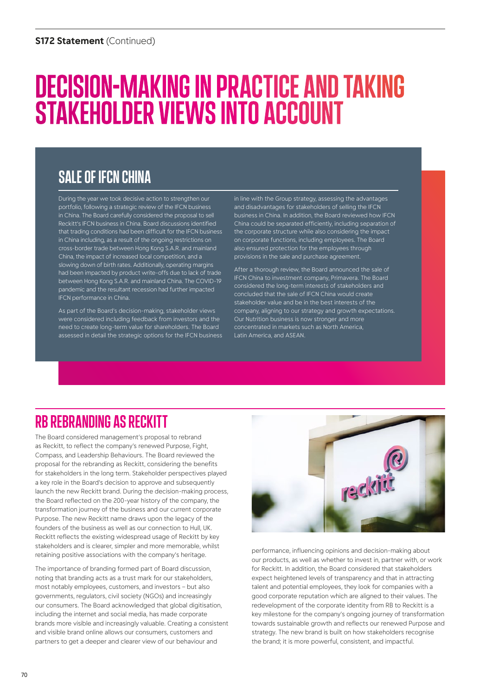# DECISION-MAKING IN PRACTICE AND TAKING STAKEHOLDER VIEWS INTO ACCOUNT

## SALE OF IFCN CHINA

During the year we took decisive action to strengthen our portfolio, following a strategic review of the IFCN business in China. The Board carefully considered the proposal to sell Reckitt's IFCN business in China. Board discussions identified that trading conditions had been difficult for the IFCN business in China including, as a result of the ongoing restrictions on cross-border trade between Hong Kong S.A.R. and mainland China, the impact of increased local competition, and a slowing down of birth rates. Additionally, operating margins had been impacted by product write-offs due to lack of trade between Hong Kong S.A.R. and mainland China. The COVID-19 pandemic and the resultant recession had further impacted IFCN performance in China.

As part of the Board's decision-making, stakeholder views were considered including feedback from investors and the need to create long-term value for shareholders. The Board assessed in detail the strategic options for the IFCN business in line with the Group strategy, assessing the advantages and disadvantages for stakeholders of selling the IFCN business in China. In addition, the Board reviewed how IFCN China could be separated efficiently, including separation of the corporate structure while also considering the impact on corporate functions, including employees. The Board also ensured protection for the employees through provisions in the sale and purchase agreement.

After a thorough review, the Board announced the sale of IFCN China to investment company, Primavera. The Board considered the long-term interests of stakeholders and concluded that the sale of IFCN China would create stakeholder value and be in the best interests of the company, aligning to our strategy and growth expectations. Our Nutrition business is now stronger and more concentrated in markets such as North America, Latin America, and ASEAN.

### RB REBRANDING AS RECKITT

The Board considered management's proposal to rebrand as Reckitt, to reflect the company's renewed Purpose, Fight, Compass, and Leadership Behaviours. The Board reviewed the proposal for the rebranding as Reckitt, considering the benefits for stakeholders in the long term. Stakeholder perspectives played a key role in the Board's decision to approve and subsequently launch the new Reckitt brand. During the decision-making process, the Board reflected on the 200-year history of the company, the transformation journey of the business and our current corporate Purpose. The new Reckitt name draws upon the legacy of the founders of the business as well as our connection to Hull, UK. Reckitt reflects the existing widespread usage of Reckitt by key stakeholders and is clearer, simpler and more memorable, whilst retaining positive associations with the company's heritage.

The importance of branding formed part of Board discussion, noting that branding acts as a trust mark for our stakeholders, most notably employees, customers, and investors – but also governments, regulators, civil society (NGOs) and increasingly our consumers. The Board acknowledged that global digitisation, including the internet and social media, has made corporate brands more visible and increasingly valuable. Creating a consistent and visible brand online allows our consumers, customers and partners to get a deeper and clearer view of our behaviour and



performance, influencing opinions and decision-making about our products, as well as whether to invest in, partner with, or work for Reckitt. In addition, the Board considered that stakeholders expect heightened levels of transparency and that in attracting talent and potential employees, they look for companies with a good corporate reputation which are aligned to their values. The redevelopment of the corporate identity from RB to Reckitt is a key milestone for the company's ongoing journey of transformation towards sustainable growth and reflects our renewed Purpose and strategy. The new brand is built on how stakeholders recognise the brand; it is more powerful, consistent, and impactful.